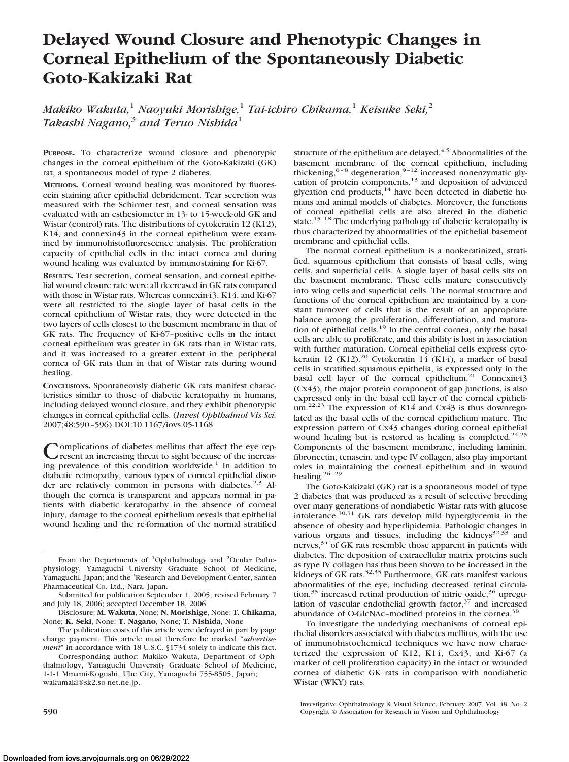# **Delayed Wound Closure and Phenotypic Changes in Corneal Epithelium of the Spontaneously Diabetic Goto-Kakizaki Rat**

*Makiko Wakuta,*<sup>1</sup> *Naoyuki Morishige,*<sup>1</sup> *Tai-ichiro Chikama,*<sup>1</sup> *Keisuke Seki,*<sup>2</sup> *Takashi Nagano,*<sup>3</sup> *and Teruo Nishida*<sup>1</sup>

**PURPOSE.** To characterize wound closure and phenotypic changes in the corneal epithelium of the Goto-Kakizaki (GK) rat, a spontaneous model of type 2 diabetes.

**METHODS.** Corneal wound healing was monitored by fluorescein staining after epithelial debridement. Tear secretion was measured with the Schirmer test, and corneal sensation was evaluated with an esthesiometer in 13- to 15-week-old GK and Wistar (control) rats. The distributions of cytokeratin 12 (K12), K14, and connexin43 in the corneal epithelium were examined by immunohistofluorescence analysis. The proliferation capacity of epithelial cells in the intact cornea and during wound healing was evaluated by immunostaining for Ki-67.

**RESULTS.** Tear secretion, corneal sensation, and corneal epithelial wound closure rate were all decreased in GK rats compared with those in Wistar rats. Whereas connexin43, K14, and Ki-67 were all restricted to the single layer of basal cells in the corneal epithelium of Wistar rats, they were detected in the two layers of cells closest to the basement membrane in that of GK rats. The frequency of Ki-67–positive cells in the intact corneal epithelium was greater in GK rats than in Wistar rats, and it was increased to a greater extent in the peripheral cornea of GK rats than in that of Wistar rats during wound healing.

**CONCLUSIONS.** Spontaneously diabetic GK rats manifest characteristics similar to those of diabetic keratopathy in humans, including delayed wound closure, and they exhibit phenotypic changes in corneal epithelial cells. (*Invest Ophthalmol Vis Sci.* 2007;48:590 –596) DOI:10.1167/iovs.05-1168

omplications of diabetes mellitus that affect the eye represent an increasing threat to sight because of the increasing prevalence of this condition worldwide.<sup>1</sup> In addition to diabetic retinopathy, various types of corneal epithelial disorder are relatively common in persons with diabetes.<sup>2,3</sup> Although the cornea is transparent and appears normal in patients with diabetic keratopathy in the absence of corneal injury, damage to the corneal epithelium reveals that epithelial wound healing and the re-formation of the normal stratified

structure of the epithelium are delayed. $4,5$  Abnormalities of the basement membrane of the corneal epithelium, including thickening,  $6-8$  degeneration,  $9-12$  increased nonenzymatic glycation of protein components,<sup>13</sup> and deposition of advanced glycation end products,<sup>14</sup> have been detected in diabetic humans and animal models of diabetes. Moreover, the functions of corneal epithelial cells are also altered in the diabetic state.<sup>15-18</sup> The underlying pathology of diabetic keratopathy is thus characterized by abnormalities of the epithelial basement membrane and epithelial cells.

The normal corneal epithelium is a nonkeratinized, stratified, squamous epithelium that consists of basal cells, wing cells, and superficial cells. A single layer of basal cells sits on the basement membrane. These cells mature consecutively into wing cells and superficial cells. The normal structure and functions of the corneal epithelium are maintained by a constant turnover of cells that is the result of an appropriate balance among the proliferation, differentiation, and maturation of epithelial cells.<sup>19</sup> In the central cornea, only the basal cells are able to proliferate, and this ability is lost in association with further maturation. Corneal epithelial cells express cytokeratin 12 (K12).<sup>20</sup> Cytokeratin 14 (K14), a marker of basal cells in stratified squamous epithelia, is expressed only in the basal cell layer of the corneal epithelium.<sup>21</sup> Connexin43 (Cx43), the major protein component of gap junctions, is also expressed only in the basal cell layer of the corneal epithelium.<sup>22,23</sup> The expression of K14 and Cx43 is thus downregulated as the basal cells of the corneal epithelium mature. The expression pattern of Cx43 changes during corneal epithelial wound healing but is restored as healing is completed.<sup>24,25</sup> Components of the basement membrane, including laminin, fibronectin, tenascin, and type IV collagen, also play important roles in maintaining the corneal epithelium and in wound healing.<sup>26-29</sup>

The Goto-Kakizaki (GK) rat is a spontaneous model of type 2 diabetes that was produced as a result of selective breeding over many generations of nondiabetic Wistar rats with glucose intolerance. $30,31$  GK rats develop mild hyperglycemia in the absence of obesity and hyperlipidemia. Pathologic changes in various organs and tissues, including the kidneys $32,33$  and nerves, $34$  of GK rats resemble those apparent in patients with diabetes. The deposition of extracellular matrix proteins such as type IV collagen has thus been shown to be increased in the<br>kidneys of GK rats.<sup>32,33</sup> Furthermore, GK rats manifest various abnormalities of the eye, including decreased retinal circulation, $35$  increased retinal production of nitric oxide, $36$  upregulation of vascular endothelial growth factor, $37$  and increased abundance of O-GlcNAc–modified proteins in the cornea.38

To investigate the underlying mechanisms of corneal epithelial disorders associated with diabetes mellitus, with the use of immunohistochemical techniques we have now characterized the expression of K12, K14, Cx43, and Ki-67 (a marker of cell proliferation capacity) in the intact or wounded cornea of diabetic GK rats in comparison with nondiabetic Wistar (WKY) rats.

From the Departments of <sup>1</sup>Ophthalmology and <sup>2</sup>Ocular Pathophysiology, Yamaguchi University Graduate School of Medicine, Yamaguchi, Japan; and the <sup>3</sup>Research and Development Center, Santen Pharmaceutical Co. Ltd., Nara, Japan.

Submitted for publication September 1, 2005; revised February 7 and July 18, 2006; accepted December 18, 2006.

Disclosure: **M. Wakuta**, None; **N. Morishige**, None; **T. Chikama**, None; **K. Seki**, None; **T. Nagano**, None; **T. Nishida**, None

The publication costs of this article were defrayed in part by page charge payment. This article must therefore be marked "*advertisement*" in accordance with 18 U.S.C. §1734 solely to indicate this fact.

Corresponding author: Makiko Wakuta, Department of Ophthalmology, Yamaguchi University Graduate School of Medicine, 1-1-1 Minami-Kogushi, Ube City, Yamaguchi 755-8505, Japan; wakumaki@sk2.so-net.ne.jp.

Investigative Ophthalmology & Visual Science, February 2007, Vol. 48, No. 2 **590** Copyright © Association for Research in Vision and Ophthalmology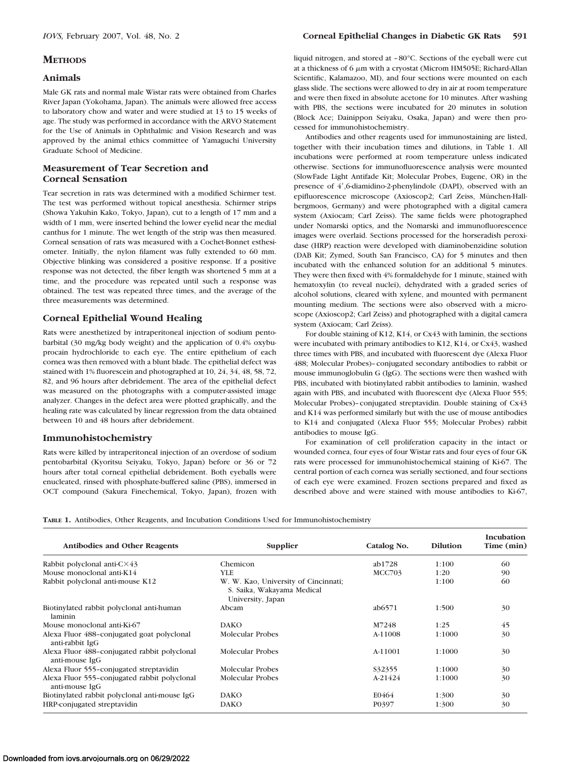# **METHODS**

## **Animals**

Male GK rats and normal male Wistar rats were obtained from Charles River Japan (Yokohama, Japan). The animals were allowed free access to laboratory chow and water and were studied at 13 to 15 weeks of age. The study was performed in accordance with the ARVO Statement for the Use of Animals in Ophthalmic and Vision Research and was approved by the animal ethics committee of Yamaguchi University Graduate School of Medicine.

# **Measurement of Tear Secretion and Corneal Sensation**

Tear secretion in rats was determined with a modified Schirmer test. The test was performed without topical anesthesia. Schirmer strips (Showa Yakuhin Kako, Tokyo, Japan), cut to a length of 17 mm and a width of 1 mm, were inserted behind the lower eyelid near the medial canthus for 1 minute. The wet length of the strip was then measured. Corneal sensation of rats was measured with a Cochet-Bonnet esthesiometer. Initially, the nylon filament was fully extended to 60 mm. Objective blinking was considered a positive response. If a positive response was not detected, the fiber length was shortened 5 mm at a time, and the procedure was repeated until such a response was obtained. The test was repeated three times, and the average of the three measurements was determined.

# **Corneal Epithelial Wound Healing**

Rats were anesthetized by intraperitoneal injection of sodium pentobarbital (30 mg/kg body weight) and the application of 0.4% oxybuprocain hydrochloride to each eye. The entire epithelium of each cornea was then removed with a blunt blade. The epithelial defect was stained with 1% fluorescein and photographed at 10, 24, 34, 48, 58, 72, 82, and 96 hours after debridement. The area of the epithelial defect was measured on the photographs with a computer-assisted image analyzer. Changes in the defect area were plotted graphically, and the healing rate was calculated by linear regression from the data obtained between 10 and 48 hours after debridement.

# **Immunohistochemistry**

Rats were killed by intraperitoneal injection of an overdose of sodium pentobarbital (Kyoritsu Seiyaku, Tokyo, Japan) before or 36 or 72 hours after total corneal epithelial debridement. Both eyeballs were enucleated, rinsed with phosphate-buffered saline (PBS), immersed in OCT compound (Sakura Finechemical, Tokyo, Japan), frozen with liquid nitrogen, and stored at – 80°C. Sections of the eyeball were cut at a thickness of  $6 \mu m$  with a cryostat (Microm HM505E; Richard-Allan Scientific, Kalamazoo, MI), and four sections were mounted on each glass slide. The sections were allowed to dry in air at room temperature and were then fixed in absolute acetone for 10 minutes. After washing with PBS, the sections were incubated for 20 minutes in solution (Block Ace; Dainippon Seiyaku, Osaka, Japan) and were then processed for immunohistochemistry.

Antibodies and other reagents used for immunostaining are listed, together with their incubation times and dilutions, in Table 1. All incubations were performed at room temperature unless indicated otherwise. Sections for immunofluorescence analysis were mounted (SlowFade Light Antifade Kit; Molecular Probes, Eugene, OR) in the presence of 4',6-diamidino-2-phenylindole (DAPI), observed with an epifluorescence microscope (Axioscop2; Carl Zeiss, München-Hallbergmoos, Germany) and were photographed with a digital camera system (Axiocam; Carl Zeiss). The same fields were photographed under Nomarski optics, and the Nomarski and immunofluorescence images were overlaid. Sections processed for the horseradish peroxidase (HRP) reaction were developed with diaminobenzidine solution (DAB Kit; Zymed, South San Francisco, CA) for 5 minutes and then incubated with the enhanced solution for an additional 5 minutes. They were then fixed with 4% formaldehyde for 1 minute, stained with hematoxylin (to reveal nuclei), dehydrated with a graded series of alcohol solutions, cleared with xylene, and mounted with permanent mounting medium. The sections were also observed with a microscope (Axioscop2; Carl Zeiss) and photographed with a digital camera system (Axiocam; Carl Zeiss).

For double staining of K12, K14, or Cx43 with laminin, the sections were incubated with primary antibodies to K12, K14, or Cx43, washed three times with PBS, and incubated with fluorescent dye (Alexa Fluor 488; Molecular Probes)–conjugated secondary antibodies to rabbit or mouse immunoglobulin G (IgG). The sections were then washed with PBS, incubated with biotinylated rabbit antibodies to laminin, washed again with PBS, and incubated with fluorescent dye (Alexa Fluor 555; Molecular Probes)–conjugated streptavidin. Double staining of Cx43 and K14 was performed similarly but with the use of mouse antibodies to K14 and conjugated (Alexa Fluor 555; Molecular Probes) rabbit antibodies to mouse IgG.

For examination of cell proliferation capacity in the intact or wounded cornea, four eyes of four Wistar rats and four eyes of four GK rats were processed for immunohistochemical staining of Ki-67. The central portion of each cornea was serially sectioned, and four sections of each eye were examined. Frozen sections prepared and fixed as described above and were stained with mouse antibodies to Ki-67,

|  |  |  |  |  |  |  | TABLE 1. Antibodies, Other Reagents, and Incubation Conditions Used for Immunohistochemistry |  |
|--|--|--|--|--|--|--|----------------------------------------------------------------------------------------------|--|
|--|--|--|--|--|--|--|----------------------------------------------------------------------------------------------|--|

| <b>Antibodies and Other Reagents</b>                           | Supplier                                                                                | Catalog No.   | <b>Dilution</b> | Incubation<br>Time (min) |
|----------------------------------------------------------------|-----------------------------------------------------------------------------------------|---------------|-----------------|--------------------------|
| Rabbit polyclonal anti- $C \times 43$                          | Chemicon                                                                                | ab1728        | 1:100           | 60                       |
| Mouse monoclonal anti-K14                                      | YLE                                                                                     | <b>MCC703</b> | 1:20            | 90                       |
| Rabbit polyclonal anti-mouse K12                               | W. W. Kao, University of Cincinnati;<br>S. Saika, Wakayama Medical<br>University, Japan |               | 1:100           | 60                       |
| Biotinylated rabbit polyclonal anti-human<br>laminin           | Abcam                                                                                   | ab6571        | 1:500           | 30                       |
| Mouse monoclonal anti-Ki-67                                    | <b>DAKO</b>                                                                             | M7248         | 1:25            | 45                       |
| Alexa Fluor 488-conjugated goat polyclonal<br>anti-rabbit IgG  | Molecular Probes                                                                        | A-11008       | 1:1000          | 30                       |
| Alexa Fluor 488-conjugated rabbit polyclonal<br>anti-mouse IgG | Molecular Probes                                                                        | A-11001       | 1:1000          | 30                       |
| Alexa Fluor 555–conjugated streptavidin                        | Molecular Probes                                                                        | \$32355       | 1:1000          | 30                       |
| Alexa Fluor 555-conjugated rabbit polyclonal<br>anti-mouse IgG | Molecular Probes                                                                        | $A-21424$     | 1:1000          | 30                       |
| Biotinylated rabbit polyclonal anti-mouse IgG                  | <b>DAKO</b>                                                                             | E0464         | 1:300           | 30                       |
| HRP-conjugated streptavidin                                    | <b>DAKO</b>                                                                             | P0397         | 1:300           | 30                       |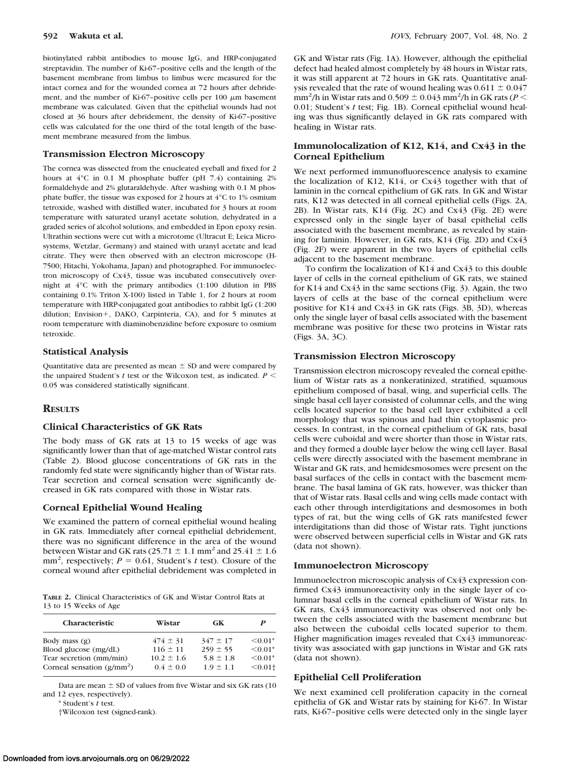biotinylated rabbit antibodies to mouse IgG, and HRP-conjugated streptavidin. The number of Ki-67–positive cells and the length of the basement membrane from limbus to limbus were measured for the intact cornea and for the wounded cornea at 72 hours after debridement, and the number of Ki-67-positive cells per 100  $\mu$ m basement membrane was calculated. Given that the epithelial wounds had not closed at 36 hours after debridement, the density of Ki-67–positive cells was calculated for the one third of the total length of the basement membrane measured from the limbus.

#### **Transmission Electron Microscopy**

The cornea was dissected from the enucleated eyeball and fixed for 2 hours at  $4^{\circ}$ C in 0.1 M phosphate buffer (pH 7.4) containing 2% formaldehyde and 2% glutaraldehyde. After washing with 0.1 M phosphate buffer, the tissue was exposed for 2 hours at 4°C to 1% osmium tetroxide, washed with distilled water, incubated for 3 hours at room temperature with saturated uranyl acetate solution, dehydrated in a graded series of alcohol solutions, and embedded in Epon epoxy resin. Ultrathin sections were cut with a microtome (Ultracut E; Leica Microsystems, Wetzlar, Germany) and stained with uranyl acetate and lead citrate. They were then observed with an electron microscope (H-7500; Hitachi, Yokohama, Japan) and photographed. For immunoelectron microscopy of Cx43, tissue was incubated consecutively overnight at 4°C with the primary antibodies (1:100 dilution in PBS containing 0.1% Triton X-100) listed in Table 1, for 2 hours at room temperature with HRP-conjugated goat antibodies to rabbit IgG (1:200 dilution; Envision+, DAKO, Carpinteria, CA), and for 5 minutes at room temperature with diaminobenzidine before exposure to osmium tetroxide.

### **Statistical Analysis**

Quantitative data are presented as mean  $\pm$  SD and were compared by the unpaired Student's  $t$  test or the Wilcoxon test, as indicated.  $P \leq$ 0.05 was considered statistically significant.

## **RESULTS**

#### **Clinical Characteristics of GK Rats**

The body mass of GK rats at 13 to 15 weeks of age was significantly lower than that of age-matched Wistar control rats (Table 2). Blood glucose concentrations of GK rats in the randomly fed state were significantly higher than of Wistar rats. Tear secretion and corneal sensation were significantly decreased in GK rats compared with those in Wistar rats.

## **Corneal Epithelial Wound Healing**

We examined the pattern of corneal epithelial wound healing in GK rats. Immediately after corneal epithelial debridement, there was no significant difference in the area of the wound between Wistar and GK rats (25.71  $\pm$  1.1 mm<sup>2</sup> and 25.41  $\pm$  1.6  $mm<sup>2</sup>$ , respectively;  $P = 0.61$ , Student's *t* test). Closure of the corneal wound after epithelial debridement was completed in

**TABLE 2.** Clinical Characteristics of GK and Wistar Control Rats at 13 to 15 Weeks of Age

| <b>Characteristic</b>        | Wistar         | GK            | P                     |  |
|------------------------------|----------------|---------------|-----------------------|--|
| Body mass $(g)$              | $474 \pm 31$   | $347 \pm 17$  | $\leq 0.01*$          |  |
| Blood glucose (mg/dL)        | $116 \pm 11$   | $259 \pm 55$  | $\leq 0.01*$          |  |
| Tear secretion (mm/min)      | $10.2 \pm 1.6$ | $5.8 \pm 1.8$ | $\leq 0.01*$          |  |
| Corneal sensation $(g/mm^2)$ | $04 + 00$      | $1.9 \pm 1.1$ | $< 0.01$ <sup>+</sup> |  |

Data are mean  $\pm$  SD of values from five Wistar and six GK rats (10) and 12 eyes, respectively).

\* Student's *t* test.

†Wilcoxon test (signed-rank).

GK and Wistar rats (Fig. 1A). However, although the epithelial defect had healed almost completely by 48 hours in Wistar rats, it was still apparent at 72 hours in GK rats. Quantitative analysis revealed that the rate of wound healing was  $0.611 \pm 0.047$  $\rm{mm^2/h}$  in Wistar rats and  $\rm 0.509 \pm 0.043~mm^2/h$  in GK rats ( $P$   $<$ 0.01; Student's *t* test; Fig. 1B). Corneal epithelial wound healing was thus significantly delayed in GK rats compared with healing in Wistar rats.

## **Immunolocalization of K12, K14, and Cx43 in the Corneal Epithelium**

We next performed immunofluorescence analysis to examine the localization of K12, K14, or Cx43 together with that of laminin in the corneal epithelium of GK rats. In GK and Wistar rats, K12 was detected in all corneal epithelial cells (Figs. 2A, 2B). In Wistar rats, K14 (Fig. 2C) and Cx43 (Fig. 2E) were expressed only in the single layer of basal epithelial cells associated with the basement membrane, as revealed by staining for laminin. However, in GK rats, K14 (Fig. 2D) and Cx43 (Fig. 2F) were apparent in the two layers of epithelial cells adjacent to the basement membrane.

To confirm the localization of K14 and Cx43 to this double layer of cells in the corneal epithelium of GK rats, we stained for K14 and Cx43 in the same sections (Fig. 3). Again, the two layers of cells at the base of the corneal epithelium were positive for K14 and Cx43 in GK rats (Figs. 3B, 3D), whereas only the single layer of basal cells associated with the basement membrane was positive for these two proteins in Wistar rats (Figs. 3A, 3C).

## **Transmission Electron Microscopy**

Transmission electron microscopy revealed the corneal epithelium of Wistar rats as a nonkeratinized, stratified, squamous epithelium composed of basal, wing, and superficial cells. The single basal cell layer consisted of columnar cells, and the wing cells located superior to the basal cell layer exhibited a cell morphology that was spinous and had thin cytoplasmic processes. In contrast, in the corneal epithelium of GK rats, basal cells were cuboidal and were shorter than those in Wistar rats, and they formed a double layer below the wing cell layer. Basal cells were directly associated with the basement membrane in Wistar and GK rats, and hemidesmosomes were present on the basal surfaces of the cells in contact with the basement membrane. The basal lamina of GK rats, however, was thicker than that of Wistar rats. Basal cells and wing cells made contact with each other through interdigitations and desmosomes in both types of rat, but the wing cells of GK rats manifested fewer interdigitations than did those of Wistar rats. Tight junctions were observed between superficial cells in Wistar and GK rats (data not shown).

#### **Immunoelectron Microscopy**

Immunoelectron microscopic analysis of Cx43 expression confirmed Cx43 immunoreactivity only in the single layer of columnar basal cells in the corneal epithelium of Wistar rats. In GK rats, Cx43 immunoreactivity was observed not only between the cells associated with the basement membrane but also between the cuboidal cells located superior to them. Higher magnification images revealed that Cx43 immunoreactivity was associated with gap junctions in Wistar and GK rats (data not shown).

## **Epithelial Cell Proliferation**

We next examined cell proliferation capacity in the corneal epithelia of GK and Wistar rats by staining for Ki-67. In Wistar rats, Ki-67–positive cells were detected only in the single layer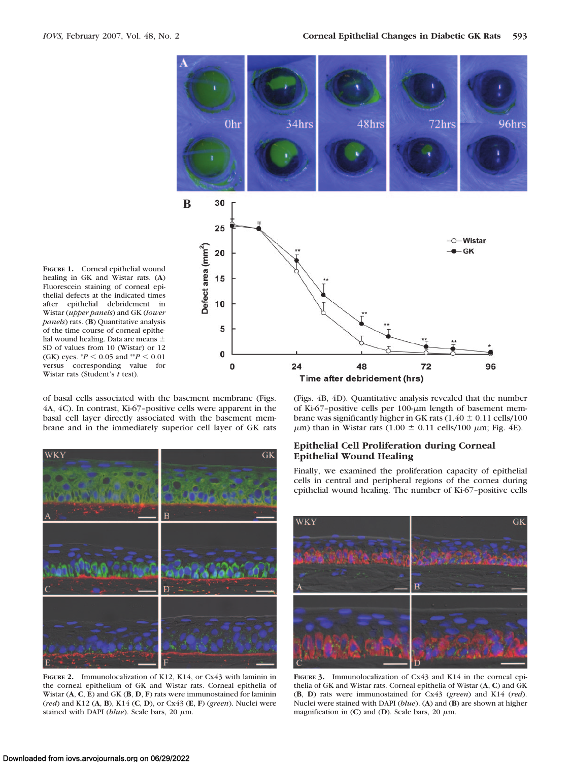

**FIGURE 1.** Corneal epithelial wound healing in GK and Wistar rats. (**A**) Fluorescein staining of corneal epithelial defects at the indicated times after epithelial debridement in Wistar (*upper panels*) and GK (*lower panels*) rats. (**B**) Quantitative analysis of the time course of corneal epithelial wound healing. Data are means SD of values from 10 (Wistar) or 12 (GK) eyes.  $^{*}P$  < 0.05 and  $^{*}P$  < 0.01 versus corresponding value for Wistar rats (Student's *t* test).

of basal cells associated with the basement membrane (Figs. 4A, 4C). In contrast, Ki-67–positive cells were apparent in the basal cell layer directly associated with the basement membrane and in the immediately superior cell layer of GK rats



**FIGURE 2.** Immunolocalization of K12, K14, or Cx43 with laminin in the corneal epithelium of GK and Wistar rats. Corneal epithelia of Wistar (**A**, **C**, **E**) and GK (**B**, **D**, **F**) rats were immunostained for laminin (*red*) and K12 (**A**, **B**), K14 (**C**, **D**), or Cx43 (**E**, **F**) (*green*). Nuclei were stained with DAPI ( $blue$ ). Scale bars, 20  $\mu$ m.

(Figs. 4B, 4D). Quantitative analysis revealed that the number of Ki-67-positive cells per  $100 \text{-} \mu \text{m}$  length of basement membrane was significantly higher in GK rats ( $1.40 \pm 0.11$  cells/100  $\mu$ m) than in Wistar rats (1.00  $\pm$  0.11 cells/100  $\mu$ m; Fig. 4E).

## **Epithelial Cell Proliferation during Corneal Epithelial Wound Healing**

Finally, we examined the proliferation capacity of epithelial cells in central and peripheral regions of the cornea during epithelial wound healing. The number of Ki-67–positive cells



**FIGURE 3.** Immunolocalization of Cx43 and K14 in the corneal epithelia of GK and Wistar rats. Corneal epithelia of Wistar (**A**, **C**) and GK (**B**, **D**) rats were immunostained for Cx43 (*green*) and K14 (*red*). Nuclei were stained with DAPI (*blue*). (**A**) and (**B**) are shown at higher magnification in (C) and (D). Scale bars, 20  $\mu$ m.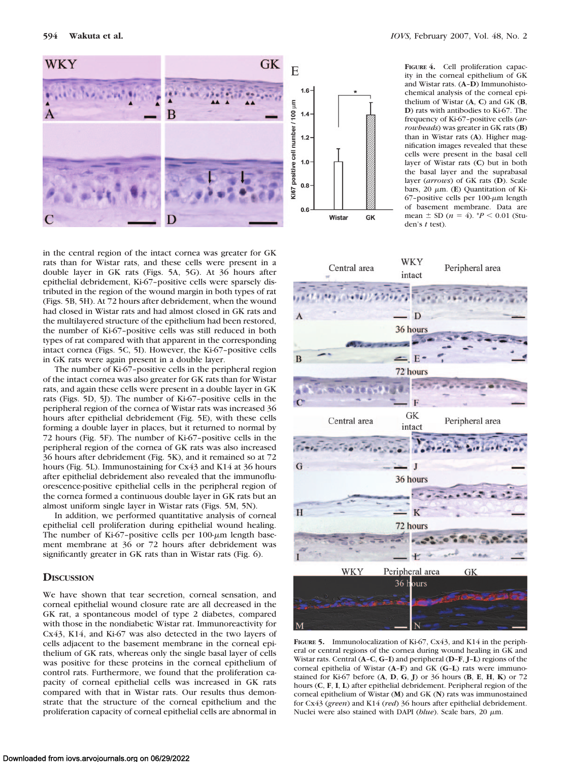

in the central region of the intact cornea was greater for GK rats than for Wistar rats, and these cells were present in a double layer in GK rats (Figs. 5A, 5G). At 36 hours after epithelial debridement, Ki-67–positive cells were sparsely distributed in the region of the wound margin in both types of rat (Figs. 5B, 5H). At 72 hours after debridement, when the wound had closed in Wistar rats and had almost closed in GK rats and the multilayered structure of the epithelium had been restored, the number of Ki-67–positive cells was still reduced in both types of rat compared with that apparent in the corresponding intact cornea (Figs. 5C, 5I). However, the Ki-67–positive cells in GK rats were again present in a double layer.

The number of Ki-67–positive cells in the peripheral region of the intact cornea was also greater for GK rats than for Wistar rats, and again these cells were present in a double layer in GK rats (Figs. 5D, 5J). The number of Ki-67–positive cells in the peripheral region of the cornea of Wistar rats was increased 36 hours after epithelial debridement (Fig. 5E), with these cells forming a double layer in places, but it returned to normal by 72 hours (Fig. 5F). The number of Ki-67–positive cells in the peripheral region of the cornea of GK rats was also increased 36 hours after debridement (Fig. 5K), and it remained so at 72 hours (Fig. 5L). Immunostaining for Cx43 and K14 at 36 hours after epithelial debridement also revealed that the immunofluorescence-positive epithelial cells in the peripheral region of the cornea formed a continuous double layer in GK rats but an almost uniform single layer in Wistar rats (Figs. 5M, 5N).

In addition, we performed quantitative analysis of corneal epithelial cell proliferation during epithelial wound healing. The number of Ki-67-positive cells per  $100$ - $\mu$ m length basement membrane at 36 or 72 hours after debridement was significantly greater in GK rats than in Wistar rats (Fig. 6).

# **DISCUSSION**

We have shown that tear secretion, corneal sensation, and corneal epithelial wound closure rate are all decreased in the GK rat, a spontaneous model of type 2 diabetes, compared with those in the nondiabetic Wistar rat. Immunoreactivity for Cx43, K14, and Ki-67 was also detected in the two layers of cells adjacent to the basement membrane in the corneal epithelium of GK rats, whereas only the single basal layer of cells was positive for these proteins in the corneal epithelium of control rats. Furthermore, we found that the proliferation capacity of corneal epithelial cells was increased in GK rats compared with that in Wistar rats. Our results thus demonstrate that the structure of the corneal epithelium and the proliferation capacity of corneal epithelial cells are abnormal in

**FIGURE 4.** Cell proliferation capacity in the corneal epithelium of GK and Wistar rats. (**A**–**D**) Immunohistochemical analysis of the corneal epithelium of Wistar (**A**, **C**) and GK (**B**, **D**) rats with antibodies to Ki-67. The frequency of Ki-67–positive cells (*arrowheads*) was greater in GK rats (**B**) than in Wistar rats (**A**). Higher magnification images revealed that these cells were present in the basal cell layer of Wistar rats (**C**) but in both the basal layer and the suprabasal layer (*arrows*) of GK rats (**D**). Scale bars, 20 μm. (**E**) Quantitation of Ki-67-positive cells per 100- $\mu$ m length of basement membrane. Data are mean  $\pm$  SD ( $n = 4$ ). *\*P* < 0.01 (Studen's *t* test).



**FIGURE 5.** Immunolocalization of Ki-67, Cx43, and K14 in the peripheral or central regions of the cornea during wound healing in GK and Wistar rats. Central (**A**–**C**, **G**–**I**) and peripheral (**D**–**F**, **J**–**L**) regions of the corneal epithelia of Wistar (**A**–**F**) and GK (**G**–**L**) rats were immunostained for Ki-67 before (**A**, **D**, **G**, **J**) or 36 hours (**B**, **E**, **H**, **K**) or 72 hours (**C**, **F**, **I**, **L**) after epithelial debridement. Peripheral region of the corneal epithelium of Wistar (**M**) and GK (**N**) rats was immunostained for Cx43 (*green*) and K14 (*red*) 36 hours after epithelial debridement. Nuclei were also stained with DAPI (*blue*). Scale bars, 20 μm.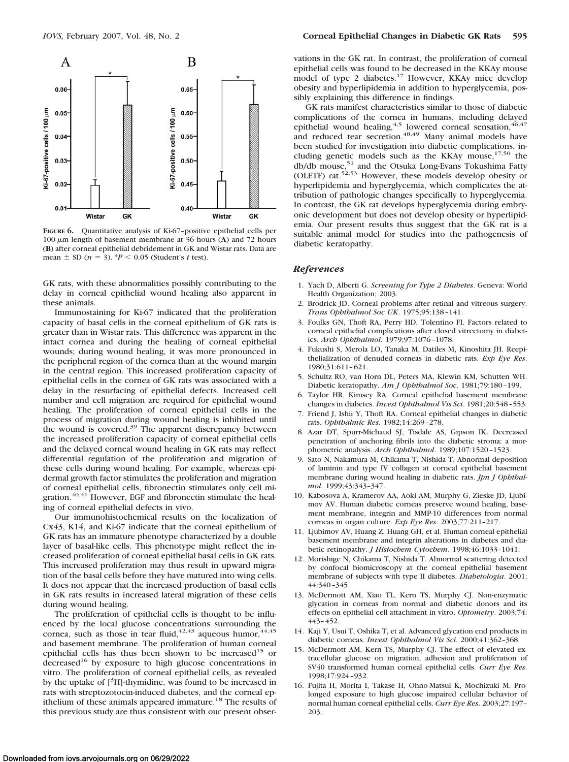

**FIGURE 6.** Quantitative analysis of Ki-67–positive epithelial cells per 100-m length of basement membrane at 36 hours (**A**) and 72 hours (**B**) after corneal epithelial debridement in GK and Wistar rats. Data are mean  $\pm$  SD ( $n = 3$ ). \* $P \le 0.05$  (Student's *t* test).

GK rats, with these abnormalities possibly contributing to the delay in corneal epithelial wound healing also apparent in these animals.

Immunostaining for Ki-67 indicated that the proliferation capacity of basal cells in the corneal epithelium of GK rats is greater than in Wistar rats. This difference was apparent in the intact cornea and during the healing of corneal epithelial wounds; during wound healing, it was more pronounced in the peripheral region of the cornea than at the wound margin in the central region. This increased proliferation capacity of epithelial cells in the cornea of GK rats was associated with a delay in the resurfacing of epithelial defects. Increased cell number and cell migration are required for epithelial wound healing. The proliferation of corneal epithelial cells in the process of migration during wound healing is inhibited until the wound is covered.<sup>39</sup> The apparent discrepancy between the increased proliferation capacity of corneal epithelial cells and the delayed corneal wound healing in GK rats may reflect differential regulation of the proliferation and migration of these cells during wound healing. For example, whereas epidermal growth factor stimulates the proliferation and migration of corneal epithelial cells, fibronectin stimulates only cell migration.<sup>40,41</sup> However, EGF and fibronectin stimulate the healing of corneal epithelial defects in vivo.

Our immunohistochemical results on the localization of Cx43, K14, and Ki-67 indicate that the corneal epithelium of GK rats has an immature phenotype characterized by a double layer of basal-like cells. This phenotype might reflect the increased proliferation of corneal epithelial basal cells in GK rats. This increased proliferation may thus result in upward migration of the basal cells before they have matured into wing cells. It does not appear that the increased production of basal cells in GK rats results in increased lateral migration of these cells during wound healing.

The proliferation of epithelial cells is thought to be influenced by the local glucose concentrations surrounding the cornea, such as those in tear fluid,  $42,43$  aqueous humor,  $44,45$ and basement membrane. The proliferation of human corneal epithelial cells has thus been shown to be increased<sup>15</sup> or decreased<sup>16</sup> by exposure to high glucose concentrations in vitro. The proliferation of corneal epithelial cells, as revealed by the uptake of  $[^{3}H]$ -thymidine, was found to be increased in rats with streptozotocin-induced diabetes, and the corneal epithelium of these animals appeared immature.<sup>18</sup> The results of this previous study are thus consistent with our present obser-

vations in the GK rat. In contrast, the proliferation of corneal epithelial cells was found to be decreased in the KKAy mouse model of type 2 diabetes.<sup>17</sup> However, KKAy mice develop obesity and hyperlipidemia in addition to hyperglycemia, possibly explaining this difference in findings.

GK rats manifest characteristics similar to those of diabetic complications of the cornea in humans, including delayed epithelial wound healing,<sup>4,5</sup> lowered corneal sensation,<sup>46,47</sup> and reduced tear secretion.<sup>48,49</sup> Many animal models have been studied for investigation into diabetic complications, including genetic models such as the KKAy mouse,<sup>17,50</sup> the db/db mouse,<sup>51</sup> and the Otsuka Long-Evans Tokushima Fatty (OLETF) rat.52,53 However, these models develop obesity or hyperlipidemia and hyperglycemia, which complicates the attribution of pathologic changes specifically to hyperglycemia. In contrast, the GK rat develops hyperglycemia during embryonic development but does not develop obesity or hyperlipidemia. Our present results thus suggest that the GK rat is a suitable animal model for studies into the pathogenesis of diabetic keratopathy.

#### *References*

- 1. Yach D, Alberti G. *Screening for Type 2 Diabetes*. Geneva: World Health Organization; 2003.
- 2. Brodrick JD. Corneal problems after retinal and vitreous surgery. *Trans Ophthalmol Soc UK*. 1975;95:138 –141.
- 3. Foulks GN, Thoft RA, Perry HD, Tolentino FI. Factors related to corneal epithelial complications after closed vitrectomy in diabetics. *Arch Ophthalmol*. 1979;97:1076 –1078.
- 4. Fukushi S, Merola LO, Tanaka M, Datiles M, Kinoshita JH. Reepithelialization of denuded corneas in diabetic rats. *Exp Eye Res*. 1980;31:611– 621.
- 5. Schultz RO, van Horn DL, Peters MA, Klewin KM, Schutten WH. Diabetic keratopathy. *Am J Ophthalmol Soc*. 1981;79:180 –199.
- 6. Taylor HR, Kimsey RA. Corneal epithelial basement membrane changes in diabetes. *Invest Ophthalmol Vis Sci*. 1981;20:548 –553.
- 7. Friend J, Ishii Y, Thoft RA. Corneal epithelial changes in diabetic rats. *Ophthalmic Res*. 1982;14:269 –278.
- 8. Azar DT, Spurr-Michaud SJ, Tisdale AS, Gipson IK. Decreased penetration of anchoring fibrils into the diabetic stroma: a morphometric analysis. *Arch Ophthalmol*. 1989;107:1520 –1523.
- 9. Sato N, Nakamura M, Chikama T, Nishida T. Abnormal deposition of laminin and type IV collagen at corneal epithelial basement membrane during wound healing in diabetic rats. *Jpn J Ophthalmol*. 1999;43:343–347.
- 10. Kabosova A, Kramerov AA, Aoki AM, Murphy G, Zieske JD, Ljubimov AV. Human diabetic corneas preserve wound healing, basement membrane, integrin and MMP-10 differences from normal corneas in organ culture. *Exp Eye Res*. 2003;77:211–217.
- 11. Ljubimov AV, Huang Z, Huang GH, et al. Human corneal epithelial basement membrane and integrin alterations in diabetes and diabetic retinopathy. *J Histochem Cytochem*. 1998;46:1033–1041.
- 12. Morishige N, Chikama T, Nishida T. Abnormal scattering detected by confocal biomicroscopy at the corneal epithelial basement membrane of subjects with type II diabetes. *Diabetologia*. 2001; 44:340 –345.
- 13. McDermott AM, Xiao TL, Kern TS, Murphy CJ. Non-enzymatic glycation in corneas from normal and diabetic donors and its effects on epithelial cell attachment in vitro. *Optometry*. 2003;74: 443– 452.
- 14. Kaji Y, Usui T, Oshika T, et al. Advanced glycation end products in diabetic corneas. *Invest Ophthalmol Vis Sci*. 2000;41:362-368.
- 15. McDermott AM, Kern TS, Murphy CJ. The effect of elevated extracellular glucose on migration, adhesion and proliferation of SV40 transformed human corneal epithelial cells. *Curr Eye Res*. 1998;17:924 –932.
- 16. Fujita H, Morita I, Takase H, Ohno-Matsui K, Mochizuki M. Prolonged exposure to high glucose impaired cellular behavior of normal human corneal epithelial cells. *Curr Eye Res*. 2003;27:197– 203.